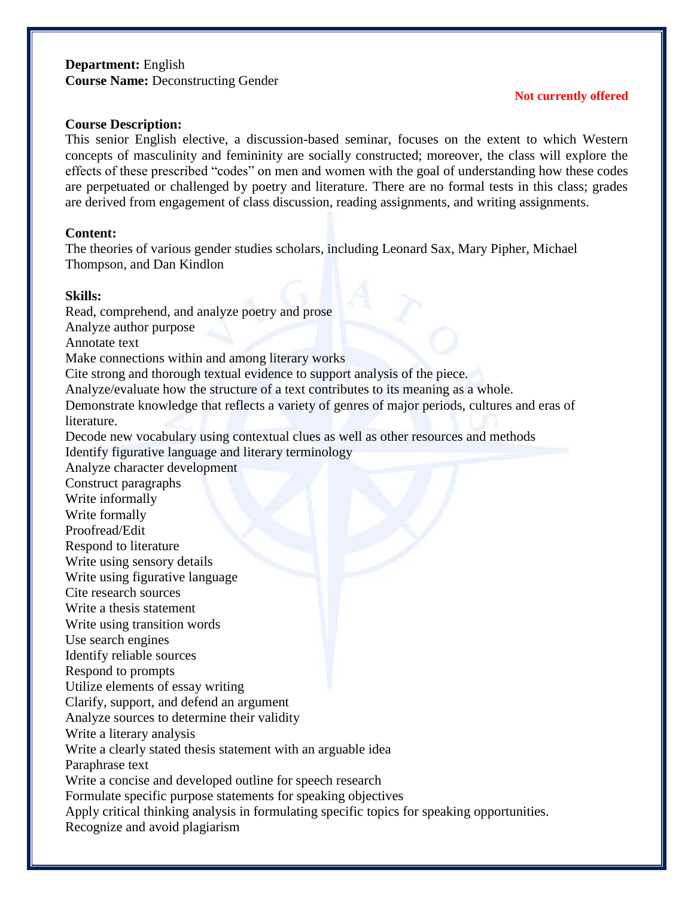# **Department:** English **Course Name:** Deconstructing Gender

### **Not currently offered**

#### **Course Description:**

This senior English elective, a discussion-based seminar, focuses on the extent to which Western concepts of masculinity and femininity are socially constructed; moreover, the class will explore the effects of these prescribed "codes" on men and women with the goal of understanding how these codes are perpetuated or challenged by poetry and literature. There are no formal tests in this class; grades are derived from engagement of class discussion, reading assignments, and writing assignments.

### **Content:**

The theories of various gender studies scholars, including Leonard Sax, Mary Pipher, Michael Thompson, and Dan Kindlon

### **Skills:**

Read, comprehend, and analyze poetry and prose Analyze author purpose Annotate text Make connections within and among literary works Cite strong and thorough textual evidence to support analysis of the piece. Analyze/evaluate how the structure of a text contributes to its meaning as a whole. Demonstrate knowledge that reflects a variety of genres of major periods, cultures and eras of literature. Decode new vocabulary using contextual clues as well as other resources and methods Identify figurative language and literary terminology Analyze character development Construct paragraphs Write informally Write formally Proofread/Edit Respond to literature Write using sensory details Write using figurative language Cite research sources Write a thesis statement Write using transition words Use search engines Identify reliable sources Respond to prompts Utilize elements of essay writing Clarify, support, and defend an argument Analyze sources to determine their validity Write a literary analysis Write a clearly stated thesis statement with an arguable idea Paraphrase text Write a concise and developed outline for speech research Formulate specific purpose statements for speaking objectives Apply critical thinking analysis in formulating specific topics for speaking opportunities. Recognize and avoid plagiarism